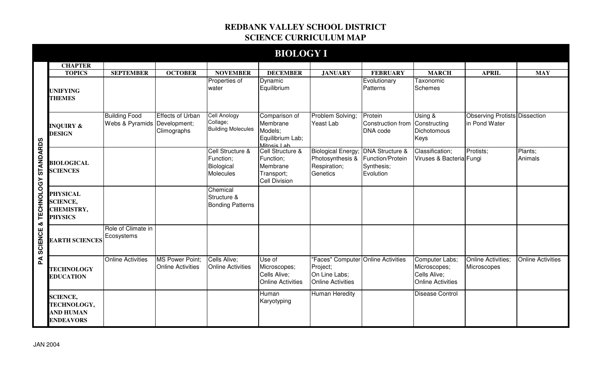## **REDBANK VALLEY SCHOOL DISTRICT SCIENCE CURRICULUM MAP**

|                        |                                                                           |                                                      |                                             |                                                                 | <b>BIOLOGY I</b>                                                                |                                                                                      |                                                                           |                                                                            |                                                       |                          |
|------------------------|---------------------------------------------------------------------------|------------------------------------------------------|---------------------------------------------|-----------------------------------------------------------------|---------------------------------------------------------------------------------|--------------------------------------------------------------------------------------|---------------------------------------------------------------------------|----------------------------------------------------------------------------|-------------------------------------------------------|--------------------------|
|                        | <b>CHAPTER</b>                                                            |                                                      |                                             |                                                                 |                                                                                 |                                                                                      |                                                                           |                                                                            |                                                       |                          |
|                        | <b>TOPICS</b>                                                             | <b>SEPTEMBER</b>                                     | <b>OCTOBER</b>                              | <b>NOVEMBER</b>                                                 | <b>DECEMBER</b>                                                                 | <b>JANUARY</b>                                                                       | <b>FEBRUARY</b>                                                           | <b>MARCH</b>                                                               | <b>APRIL</b>                                          | <b>MAY</b>               |
|                        | <b>UNIFYING</b><br><b>THEMES</b>                                          |                                                      |                                             | Properties of<br>water                                          | <b>Dynamic</b><br>Equilibrium                                                   |                                                                                      | Evolutionary<br>Patterns                                                  | Taxonomic<br><b>Schemes</b>                                                |                                                       |                          |
| & TECHNOLOGY STANDARDS | <b>INQUIRY &amp;</b><br><b>DESIGN</b>                                     | <b>Building Food</b><br>Webs & Pyramids Development; | <b>Effects of Urban</b><br>Climographs      | <b>Cell Anology</b><br>Collage;<br><b>Building Molecules</b>    | Comparison of<br>Membrane<br>Models;<br>Equilibrium Lab;<br>Mitosis Lab         | Problem Solving;<br>Yeast Lab                                                        | Protein<br>Construction from Constructing<br>DNA code                     | Using &<br>Dichotomous<br>Keys                                             | <b>Observing Protists Dissection</b><br>in Pond Water |                          |
|                        | <b>BIOLOGICAL</b><br><b>SCIENCES</b>                                      |                                                      |                                             | Cell Structure &<br>Function;<br>Biological<br><b>Molecules</b> | Cell Structure &<br>Function;<br>Membrane<br>Transport;<br><b>Cell Division</b> | <b>Biological Energy</b><br>Photosynthesis &<br>Respiration;<br>Genetics             | <b>DNA Structure &amp;</b><br>Function/Protein<br>Synthesis;<br>Evolution | Classification;<br>Viruses & Bacteria Fungi                                | Protists;                                             | Plants;<br>Animals       |
|                        | <b>PHYSICAL</b><br><b>SCIENCE,</b><br><b>CHEMISTRY,</b><br><b>PHYSICS</b> |                                                      |                                             | Chemical<br>Structure &<br><b>Bonding Patterns</b>              |                                                                                 |                                                                                      |                                                                           |                                                                            |                                                       |                          |
| <b>SCIENCE</b>         | <b>EARTH SCIENCES</b>                                                     | Role of Climate in<br>Ecosystems                     |                                             |                                                                 |                                                                                 |                                                                                      |                                                                           |                                                                            |                                                       |                          |
| Ã                      | <b>TECHNOLOGY</b><br><b>EDUCATION</b>                                     | <b>Online Activities</b>                             | MS Power Point;<br><b>Online Activities</b> | Cells Alive;<br><b>Online Activities</b>                        | Use of<br>Microscopes;<br>Cells Alive;<br><b>Online Activities</b>              | "Faces" Computer Online Activities<br>Project;<br>On Line Labs;<br>Online Activities |                                                                           | Computer Labs;<br>Microscopes;<br>Cells Alive;<br><b>Online Activities</b> | Online Activities;<br>Microscopes                     | <b>Online Activities</b> |
|                        | <b>SCIENCE,</b><br>TECHNOLOGY,<br><b>AND HUMAN</b><br><b>ENDEAVORS</b>    |                                                      |                                             |                                                                 | Human<br>Karyotyping                                                            | <b>Human Heredity</b>                                                                |                                                                           | <b>Disease Control</b>                                                     |                                                       |                          |